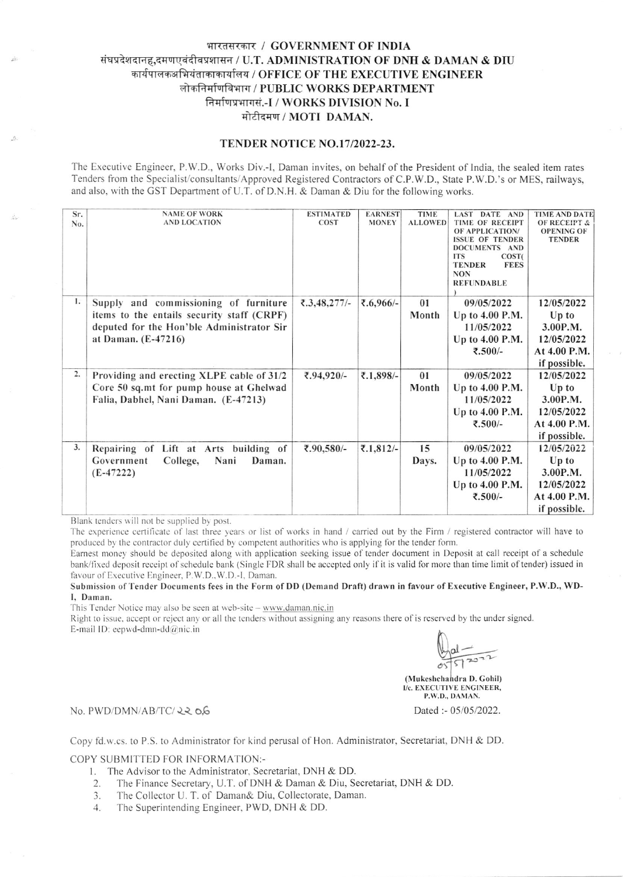# भारतसरकार / GOVERNMENT OF INDIA संघप्रदेशदानह,दमणएवंदीवप्रशासन / U.T. ADMINISTRATION OF DNH & DAMAN & DIU कार्यपालकअभियंताकाकार्यालय / OFFICE OF THE EXECUTIVE ENGINEER लोकनिर्माणविभाग / PUBLIC WORKS DEPARTMENT तिर्माणप्रभागसं.-I / WORKS DIVISION No. I मोटीदमण / MOTI DAMAN.

## TENDER NOTICE NO.17/2022-23.

The Executive Engineer, P.W.D., Works Div.-1, Daman invites, on behalf of the President of lndia, the sealed item rates Tenders from the Specialist/consultants/Approved Registered Contractors of C.P.W.D., State P.W.D.'s or MES, railways, and also, with the GST Department of U.T. of D.N.H. & Daman & Diu for the following works.

| Sr.<br>No. | <b>NAME OF WORK</b><br><b>AND LOCATION</b>                                                                                                              | <b>ESTIMATED</b><br><b>COST</b> | <b>EARNEST</b><br><b>MONEY</b> | <b>TIME</b><br><b>ALLOWED</b> | <b>LAST DATE AND</b><br>TIME OF RECEIPT<br>OF APPLICATION/<br><b>ISSUE OF TENDER</b><br>DOCUMENTS AND<br><b>ITS</b><br>COST <sub>(</sub><br><b>TENDER</b><br><b>FEES</b><br><b>NON</b><br><b>REFUNDABLE</b> | <b>TIME AND DATE</b><br><b>OF RECEIPT &amp;</b><br><b>OPENING OF</b><br><b>TENDER</b> |
|------------|---------------------------------------------------------------------------------------------------------------------------------------------------------|---------------------------------|--------------------------------|-------------------------------|-------------------------------------------------------------------------------------------------------------------------------------------------------------------------------------------------------------|---------------------------------------------------------------------------------------|
| 1.         | Supply and commissioning of furniture<br>items to the entails security staff (CRPF)<br>deputed for the Hon'ble Administrator Sir<br>at Daman. (E-47216) | ₹.3,48,277/-                    | ₹.6,966/-                      | 01<br>Month                   | 09/05/2022<br>Up to 4.00 P.M.<br>11/05/2022<br>Up to 4.00 P.M.<br>₹.500/-                                                                                                                                   | 12/05/2022<br>$Up$ to<br>3.00P.M.<br>12/05/2022<br>At 4.00 P.M.<br>if possible.       |
| 2.         | Providing and erecting XLPE cable of 31/2<br>Core 50 sq.mt for pump house at Ghelwad<br>Falia, Dabhel, Nani Daman. (E-47213)                            | ₹.94,920/-                      | ₹.1,898/-                      | 01<br>Month                   | 09/05/2022<br>Up to 4.00 P.M.<br>11/05/2022<br>Up to 4.00 P.M.<br>₹.500/-                                                                                                                                   | 12/05/2022<br>Up to<br>3.00P.M.<br>12/05/2022<br>At 4.00 P.M.<br>if possible.         |
| 3.         | Repairing of Lift at Arts building of<br>Government<br>Nani<br>College,<br>Daman.<br>$(E-47222)$                                                        | ₹.90,580/-                      | ₹.1,812/-                      | 15<br>Days.                   | 09/05/2022<br>Up to 4.00 P.M.<br>11/05/2022<br>Up to 4.00 P.M.<br>₹.500/-                                                                                                                                   | 12/05/2022<br>Up to<br>3.00P.M.<br>12/05/2022<br>At 4.00 P.M.<br>if possible.         |

Blank tenders will not be supplied by post.

The experience certificate of last three years or list of works in hand / carried out by the Firm / registered contractor will have to produced by the contractor duly certified by competent authorities who is applying for the tender form.

Earnest money should be deposited along with application seeking issue of tender document in Deposit at call receipt of a schedule bank/fixed deposit receipt of schedule bank (Single FDR shall be accepted only if it is valid for more than time limit of tender) issued in favour of Executive Engineer, P.W.D., W.D.-I, Daman.

#### Submission of Tender Documents fees in the Form of DD (Demand Draft) drawn in favour of Executive Engineer, P.W.D., WD-I, Daman.

This Tender Notice may also be seen at web-site - www.daman.nic.in

Right to issue, accept or reject any or all the tenders without assigning any reasons there of is reserved by the under signed. E-mail ID: eepwd-dmn-dd $@$ nic.in

> $\overline{1}$ (Mukeshchandra D. Gohil) I/c. EXECUTIVE ENGINEER, P.W.D., DAMAN. a

No. PWD/DMN/AB/TC/ 22 0.6 Dated :- 05/05/2022.

Copy fd.w.cs. to P.S. to Administrator for kind perusal of Hon. Administrator, Secretariat, DNH & DD.

### COPY SUBMITTED FOR INFORMATION:-

- l. The Advisor to the Administrator, Secretariat, DNH & DD.
- 2. The Finance Secretary, U.T. of DNH & Daman & Diu, Secretariat, DNH & DD.<br>3. The Collector U.T. of Daman & Diu, Collectorate, Daman.
- The Collector U. T. of Daman& Diu, Collectorate, Daman.
- 4. Thc Superintending Engineer, PWD, DNH & DD.